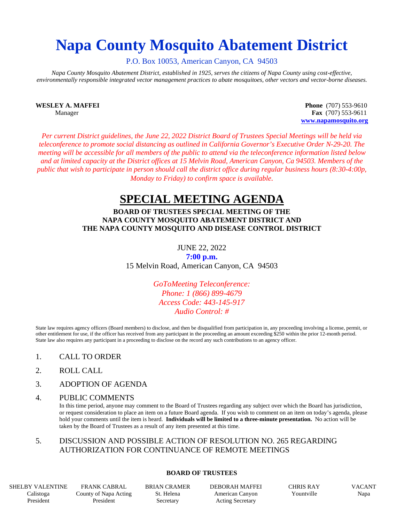# **Napa County Mosquito Abatement District**

P.O. Box 10053, American Canyon, CA 94503

*Napa County Mosquito Abatement District, established in 1925, serves the citizens of Napa County using cost-effective, environmentally responsible integrated vector management practices to abate mosquitoes, other vectors and vector-borne diseases.*

**WESLEY A. MAFFEI Phone** (707) 553-9610 Manager **Fax** (707) 553-9611 **[www.napamosquito.org](http://www.napamosquito.org/)**

*Per current District guidelines, the June 22, 2022 District Board of Trustees Special Meetings will be held via teleconference to promote social distancing as outlined in California Governor's Executive Order N-29-20. The meeting will be accessible for all members of the public to attend via the teleconference information listed below and at limited capacity at the District offices at 15 Melvin Road, American Canyon, Ca 94503. Members of the public that wish to participate in person should call the district office during regular business hours (8:30-4:00p, Monday to Friday) to confirm space is available.*

## **SPECIAL MEETING AGENDA**

#### **BOARD OF TRUSTEES SPECIAL MEETING OF THE NAPA COUNTY MOSQUITO ABATEMENT DISTRICT AND THE NAPA COUNTY MOSQUITO AND DISEASE CONTROL DISTRICT**

JUNE 22, 2022

**7:00 p.m.** 15 Melvin Road, American Canyon, CA 94503

> *GoToMeeting Teleconference: Phone: 1 (866) 899-4679 Access Code: 443-145-917 Audio Control: #*

State law requires agency officers (Board members) to disclose, and then be disqualified from participation in, any proceeding involving a license, permit, or other entitlement for use, if the officer has received from any participant in the proceeding an amount exceeding \$250 within the prior 12-month period. State law also requires any participant in a proceeding to disclose on the record any such contributions to an agency officer.

- 1. CALL TO ORDER
- 2. ROLL CALL
- 3. ADOPTION OF AGENDA
- 4. PUBLIC COMMENTS

In this time period, anyone may comment to the Board of Trustees regarding any subject over which the Board has jurisdiction, or request consideration to place an item on a future Board agenda. If you wish to comment on an item on today's agenda, please hold your comments until the item is heard. **Individuals will be limited to a three-minute presentation.** No action will be taken by the Board of Trustees as a result of any item presented at this time.

### 5. DISCUSSION AND POSSIBLE ACTION OF RESOLUTION NO. 265 REGARDING AUTHORIZATION FOR CONTINUANCE OF REMOTE MEETINGS

#### **BOARD OF TRUSTEES**

SHELBY VALENTINE Calistoga President

FRANK CABRAL County of Napa Acting President

BRIAN CRAMER St. Helena Secretary

DEBORAH MAFFEI American Canyon Acting Secretary

CHRIS RAY Yountville

VACANT Napa